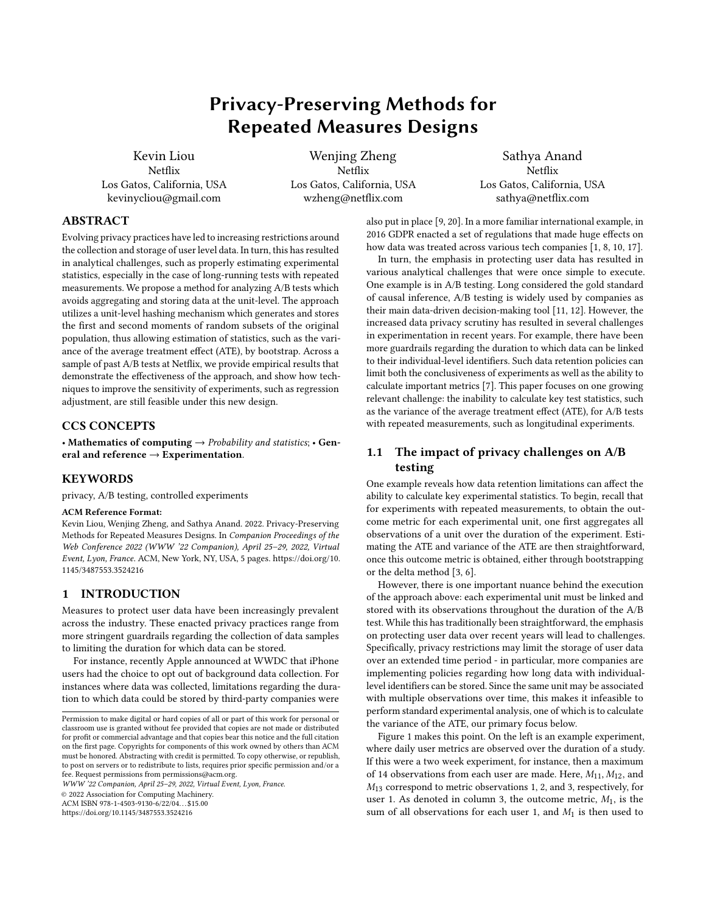# Privacy-Preserving Methods for Repeated Measures Designs

Kevin Liou Netflix Los Gatos, California, USA kevinycliou@gmail.com

Wenjing Zheng Netflix Los Gatos, California, USA wzheng@netflix.com

Sathya Anand Netflix Los Gatos, California, USA sathya@netflix.com

# ABSTRACT

Evolving privacy practices have led to increasing restrictions around the collection and storage of user level data. In turn, this has resulted in analytical challenges, such as properly estimating experimental statistics, especially in the case of long-running tests with repeated measurements. We propose a method for analyzing A/B tests which avoids aggregating and storing data at the unit-level. The approach utilizes a unit-level hashing mechanism which generates and stores the first and second moments of random subsets of the original population, thus allowing estimation of statistics, such as the variance of the average treatment effect (ATE), by bootstrap. Across a sample of past A/B tests at Netflix, we provide empirical results that demonstrate the effectiveness of the approach, and show how techniques to improve the sensitivity of experiments, such as regression adjustment, are still feasible under this new design.

# CCS CONCEPTS

• Mathematics of computing  $\rightarrow$  Probability and statistics; • General and reference  $\rightarrow$  Experimentation.

## KEYWORDS

privacy, A/B testing, controlled experiments

#### ACM Reference Format:

Kevin Liou, Wenjing Zheng, and Sathya Anand. 2022. Privacy-Preserving Methods for Repeated Measures Designs. In Companion Proceedings of the Web Conference 2022 (WWW '22 Companion), April 25–29, 2022, Virtual Event, Lyon, France. ACM, New York, NY, USA, [5](#page-4-0) pages. [https://doi.org/10.](https://doi.org/10.1145/3487553.3524216) [1145/3487553.3524216](https://doi.org/10.1145/3487553.3524216)

# 1 INTRODUCTION

Measures to protect user data have been increasingly prevalent across the industry. These enacted privacy practices range from more stringent guardrails regarding the collection of data samples to limiting the duration for which data can be stored.

For instance, recently Apple announced at WWDC that iPhone users had the choice to opt out of background data collection. For instances where data was collected, limitations regarding the duration to which data could be stored by third-party companies were

WWW '22 Companion, April 25–29, 2022, Virtual Event, Lyon, France.

© 2022 Association for Computing Machinery.

ACM ISBN 978-1-4503-9130-6/22/04. . . \$15.00

<https://doi.org/10.1145/3487553.3524216>

also put in place [\[9,](#page-4-1) [20\]](#page-4-2). In a more familiar international example, in 2016 GDPR enacted a set of regulations that made huge effects on how data was treated across various tech companies [\[1,](#page-4-3) [8,](#page-4-4) [10,](#page-4-5) [17\]](#page-4-6).

In turn, the emphasis in protecting user data has resulted in various analytical challenges that were once simple to execute. One example is in A/B testing. Long considered the gold standard of causal inference, A/B testing is widely used by companies as their main data-driven decision-making tool [\[11,](#page-4-7) [12\]](#page-4-8). However, the increased data privacy scrutiny has resulted in several challenges in experimentation in recent years. For example, there have been more guardrails regarding the duration to which data can be linked to their individual-level identifiers. Such data retention policies can limit both the conclusiveness of experiments as well as the ability to calculate important metrics [\[7\]](#page-4-9). This paper focuses on one growing relevant challenge: the inability to calculate key test statistics, such as the variance of the average treatment effect (ATE), for A/B tests with repeated measurements, such as longitudinal experiments.

# 1.1 The impact of privacy challenges on A/B testing

One example reveals how data retention limitations can affect the ability to calculate key experimental statistics. To begin, recall that for experiments with repeated measurements, to obtain the outcome metric for each experimental unit, one first aggregates all observations of a unit over the duration of the experiment. Estimating the ATE and variance of the ATE are then straightforward, once this outcome metric is obtained, either through bootstrapping or the delta method [\[3,](#page-4-10) [6\]](#page-4-11).

However, there is one important nuance behind the execution of the approach above: each experimental unit must be linked and stored with its observations throughout the duration of the A/B test. While this has traditionally been straightforward, the emphasis on protecting user data over recent years will lead to challenges. Specifically, privacy restrictions may limit the storage of user data over an extended time period - in particular, more companies are implementing policies regarding how long data with individuallevel identifiers can be stored. Since the same unit may be associated with multiple observations over time, this makes it infeasible to perform standard experimental analysis, one of which is to calculate the variance of the ATE, our primary focus below.

Figure 1 makes this point. On the left is an example experiment, where daily user metrics are observed over the duration of a study. If this were a two week experiment, for instance, then a maximum of 14 observations from each user are made. Here,  $M_{11}, M_{12}$ , and  $M_{13}$  correspond to metric observations 1, 2, and 3, respectively, for user 1. As denoted in column 3, the outcome metric,  $M_1$ , is the sum of all observations for each user 1, and  $M_1$  is then used to

Permission to make digital or hard copies of all or part of this work for personal or classroom use is granted without fee provided that copies are not made or distributed for profit or commercial advantage and that copies bear this notice and the full citation on the first page. Copyrights for components of this work owned by others than ACM must be honored. Abstracting with credit is permitted. To copy otherwise, or republish, to post on servers or to redistribute to lists, requires prior specific permission and/or a fee. Request permissions from permissions@acm.org.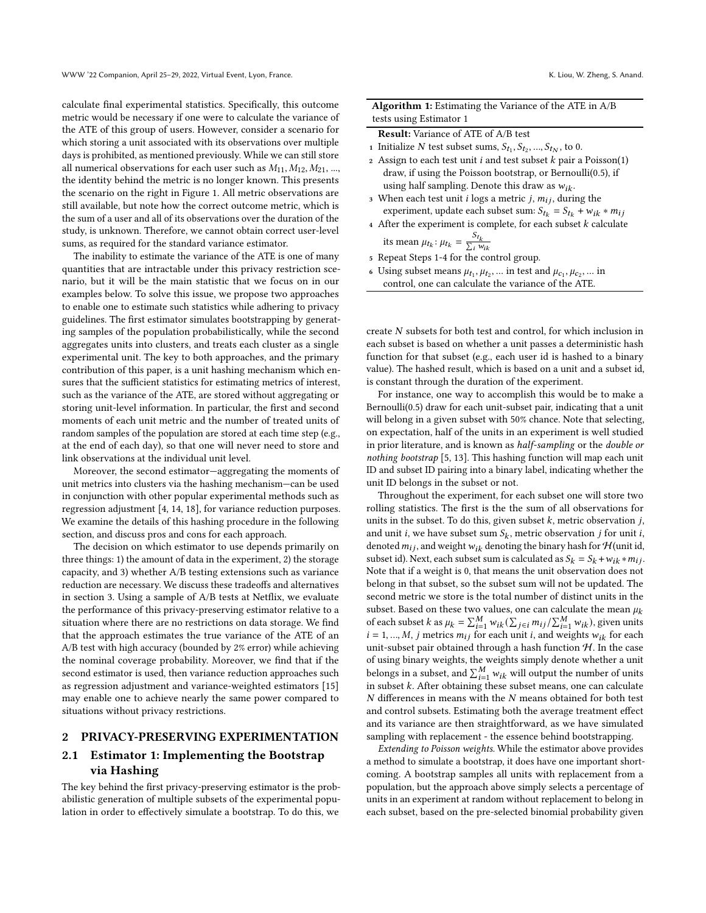calculate final experimental statistics. Specifically, this outcome metric would be necessary if one were to calculate the variance of the ATE of this group of users. However, consider a scenario for which storing a unit associated with its observations over multiple days is prohibited, as mentioned previously. While we can still store all numerical observations for each user such as  $M_{11}, M_{12}, M_{21}, ...,$ the identity behind the metric is no longer known. This presents the scenario on the right in Figure 1. All metric observations are still available, but note how the correct outcome metric, which is the sum of a user and all of its observations over the duration of the study, is unknown. Therefore, we cannot obtain correct user-level sums, as required for the standard variance estimator.

The inability to estimate the variance of the ATE is one of many quantities that are intractable under this privacy restriction scenario, but it will be the main statistic that we focus on in our examples below. To solve this issue, we propose two approaches to enable one to estimate such statistics while adhering to privacy guidelines. The first estimator simulates bootstrapping by generating samples of the population probabilistically, while the second aggregates units into clusters, and treats each cluster as a single experimental unit. The key to both approaches, and the primary contribution of this paper, is a unit hashing mechanism which ensures that the sufficient statistics for estimating metrics of interest, such as the variance of the ATE, are stored without aggregating or storing unit-level information. In particular, the first and second moments of each unit metric and the number of treated units of random samples of the population are stored at each time step (e.g., at the end of each day), so that one will never need to store and link observations at the individual unit level.

Moreover, the second estimator—aggregating the moments of unit metrics into clusters via the hashing mechanism—can be used in conjunction with other popular experimental methods such as regression adjustment [\[4,](#page-4-12) [14,](#page-4-13) [18\]](#page-4-14), for variance reduction purposes. We examine the details of this hashing procedure in the following section, and discuss pros and cons for each approach.

The decision on which estimator to use depends primarily on three things: 1) the amount of data in the experiment, 2) the storage capacity, and 3) whether A/B testing extensions such as variance reduction are necessary. We discuss these tradeoffs and alternatives in section 3. Using a sample of A/B tests at Netflix, we evaluate the performance of this privacy-preserving estimator relative to a situation where there are no restrictions on data storage. We find that the approach estimates the true variance of the ATE of an A/B test with high accuracy (bounded by 2% error) while achieving the nominal coverage probability. Moreover, we find that if the second estimator is used, then variance reduction approaches such as regression adjustment and variance-weighted estimators [\[15\]](#page-4-15) may enable one to achieve nearly the same power compared to situations without privacy restrictions.

### 2 PRIVACY-PRESERVING EXPERIMENTATION

# 2.1 Estimator 1: Implementing the Bootstrap via Hashing

The key behind the first privacy-preserving estimator is the probabilistic generation of multiple subsets of the experimental population in order to effectively simulate a bootstrap. To do this, we

| <b>Algorithm 1:</b> Estimating the Variance of the ATE in A/B |  |  |
|---------------------------------------------------------------|--|--|
| tests using Estimator 1                                       |  |  |

| <b>Result:</b> Variance of ATE of A/B test |
|--------------------------------------------|
|--------------------------------------------|

- 1 Initialize N test subset sums,  $S_{t_1}, S_{t_2}, ..., S_{t_N}$ , to 0.
- 2 Assign to each test unit  $i$  and test subset  $k$  pair a Poisson(1) draw, if using the Poisson bootstrap, or Bernoulli(0.5), if using half sampling. Denote this draw as  $w_{ik}$ .
- 3 When each test unit *i* logs a metric *j*,  $m_{ij}$ , during the experiment, update each subset sum:  $S_{t_k} = S_{t_k} + w_{ik} * m_{ij}$
- $4$  After the experiment is complete, for each subset  $k$  calculate its mean  $\mu_{t_k}$ :  $\mu_{t_k} = \frac{S_{t_k}}{\sum_i w_{ik}}$

- <sup>5</sup> Repeat Steps 1-4 for the control group.
- 6 Using subset means  $\mu_{t_1}, \mu_{t_2}, \dots$  in test and  $\mu_{c_1}, \mu_{c_2}, \dots$  in control, one can calculate the variance of the ATE.

create  $N$  subsets for both test and control, for which inclusion in each subset is based on whether a unit passes a deterministic hash function for that subset (e.g., each user id is hashed to a binary value). The hashed result, which is based on a unit and a subset id, is constant through the duration of the experiment.

For instance, one way to accomplish this would be to make a Bernoulli(0.5) draw for each unit-subset pair, indicating that a unit will belong in a given subset with 50% chance. Note that selecting, on expectation, half of the units in an experiment is well studied in prior literature, and is known as half-sampling or the double or nothing bootstrap [\[5,](#page-4-16) [13\]](#page-4-17). This hashing function will map each unit ID and subset ID pairing into a binary label, indicating whether the unit ID belongs in the subset or not.

Throughout the experiment, for each subset one will store two rolling statistics. The first is the the sum of all observations for units in the subset. To do this, given subset  $k$ , metric observation  $j$ , and unit *i*, we have subset sum  $S_k$ , metric observation *j* for unit *i*, denoted  $m_{ij}$ , and weight  $w_{ik}$  denoting the binary hash for  $H($ unit id, subset id). Next, each subset sum is calculated as  $S_k = S_k + w_{ik} * m_{ij}$ . Note that if a weight is 0, that means the unit observation does not belong in that subset, so the subset sum will not be updated. The second metric we store is the total number of distinct units in the subset. Based on these two values, one can calculate the mean  $\mu_k$ of each subset k as  $\mu_k = \sum_{i=1}^M w_{ik} (\sum_{j \in i} m_{ij} / \sum_{i=1}^M w_{ik})$ , given units  $i = 1, ..., M$ , *j* metrics  $m_{ij}$  for each unit *i*, and weights  $w_{ik}$  for each unit-subset pair obtained through a hash function  $H$ . In the case of using binary weights, the weights simply denote whether a unit belongs in a subset, and  $\sum_{i=1}^{M} w_{ik}$  will output the number of units in subset  $k$ . After obtaining these subset means, one can calculate  $N$  differences in means with the  $N$  means obtained for both test and control subsets. Estimating both the average treatment effect and its variance are then straightforward, as we have simulated sampling with replacement - the essence behind bootstrapping.

Extending to Poisson weights. While the estimator above provides a method to simulate a bootstrap, it does have one important shortcoming. A bootstrap samples all units with replacement from a population, but the approach above simply selects a percentage of units in an experiment at random without replacement to belong in each subset, based on the pre-selected binomial probability given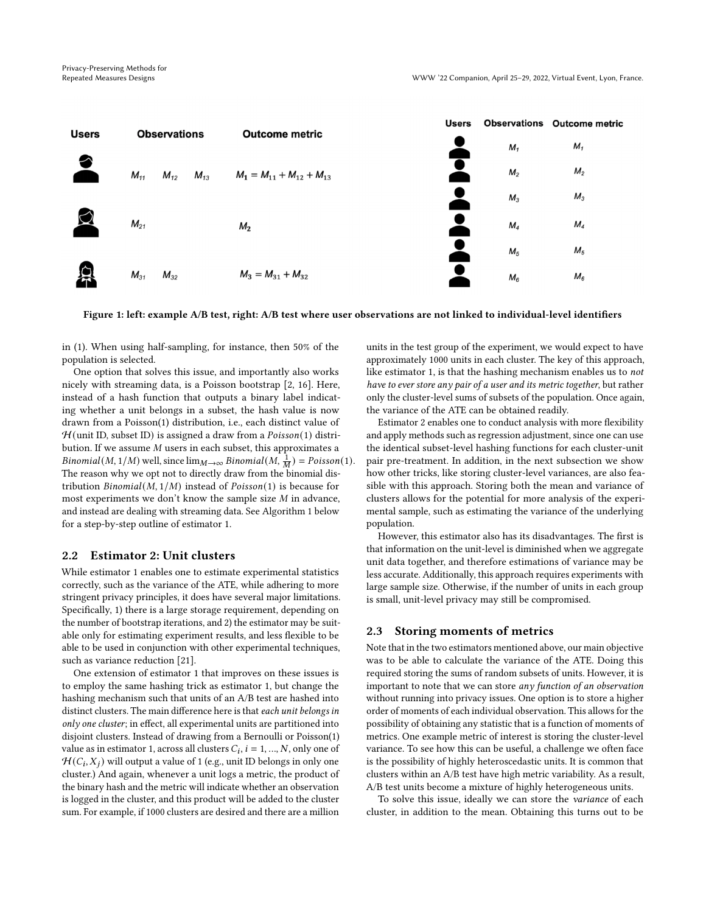

Figure 1: left: example A/B test, right: A/B test where user observations are not linked to individual-level identifiers

in (1). When using half-sampling, for instance, then 50% of the population is selected.

One option that solves this issue, and importantly also works nicely with streaming data, is a Poisson bootstrap [\[2,](#page-4-18) [16\]](#page-4-19). Here, instead of a hash function that outputs a binary label indicating whether a unit belongs in a subset, the hash value is now drawn from a Poisson(1) distribution, i.e., each distinct value of  $H$ (unit ID, subset ID) is assigned a draw from a  $Poisson(1)$  distribution. If we assume  $M$  users in each subset, this approximates a *Binomial* (*M*, 1/*M*) well, since  $\lim_{M\to\infty} Binomial(M, \frac{1}{M}) = Poisson(1)$ . The reason why we opt not to directly draw from the binomial distribution  $Binomial(M, 1/M)$  instead of  $Poisson(1)$  is because for most experiments we don't know the sample size  $M$  in advance, and instead are dealing with streaming data. See Algorithm 1 below for a step-by-step outline of estimator 1.

# 2.2 Estimator 2: Unit clusters

While estimator 1 enables one to estimate experimental statistics correctly, such as the variance of the ATE, while adhering to more stringent privacy principles, it does have several major limitations. Specifically, 1) there is a large storage requirement, depending on the number of bootstrap iterations, and 2) the estimator may be suitable only for estimating experiment results, and less flexible to be able to be used in conjunction with other experimental techniques, such as variance reduction [\[21\]](#page-4-20).

One extension of estimator 1 that improves on these issues is to employ the same hashing trick as estimator 1, but change the hashing mechanism such that units of an A/B test are hashed into distinct clusters. The main difference here is that each unit belongs in only one cluster; in effect, all experimental units are partitioned into disjoint clusters. Instead of drawing from a Bernoulli or Poisson(1) value as in estimator 1, across all clusters  $C_i$ ,  $i = 1, ..., N$ , only one of  $H(C_i, X_j)$  will output a value of 1 (e.g., unit ID belongs in only one cluster.) And again, whenever a unit logs a metric, the product of the binary hash and the metric will indicate whether an observation is logged in the cluster, and this product will be added to the cluster sum. For example, if 1000 clusters are desired and there are a million

units in the test group of the experiment, we would expect to have approximately 1000 units in each cluster. The key of this approach, like estimator 1, is that the hashing mechanism enables us to not have to ever store any pair of a user and its metric together, but rather only the cluster-level sums of subsets of the population. Once again, the variance of the ATE can be obtained readily.

Estimator 2 enables one to conduct analysis with more flexibility and apply methods such as regression adjustment, since one can use the identical subset-level hashing functions for each cluster-unit pair pre-treatment. In addition, in the next subsection we show how other tricks, like storing cluster-level variances, are also feasible with this approach. Storing both the mean and variance of clusters allows for the potential for more analysis of the experimental sample, such as estimating the variance of the underlying population.

However, this estimator also has its disadvantages. The first is that information on the unit-level is diminished when we aggregate unit data together, and therefore estimations of variance may be less accurate. Additionally, this approach requires experiments with large sample size. Otherwise, if the number of units in each group is small, unit-level privacy may still be compromised.

### 2.3 Storing moments of metrics

Note that in the two estimators mentioned above, our main objective was to be able to calculate the variance of the ATE. Doing this required storing the sums of random subsets of units. However, it is important to note that we can store any function of an observation without running into privacy issues. One option is to store a higher order of moments of each individual observation. This allows for the possibility of obtaining any statistic that is a function of moments of metrics. One example metric of interest is storing the cluster-level variance. To see how this can be useful, a challenge we often face is the possibility of highly heteroscedastic units. It is common that clusters within an A/B test have high metric variability. As a result, A/B test units become a mixture of highly heterogeneous units.

To solve this issue, ideally we can store the variance of each cluster, in addition to the mean. Obtaining this turns out to be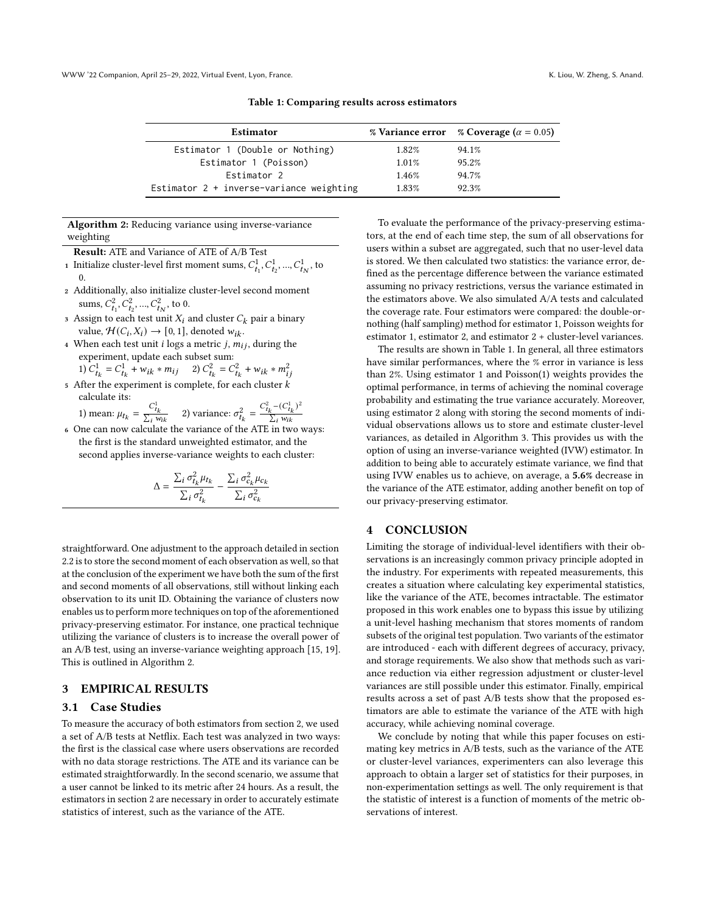| Estimator                                  |          | % Variance error % Coverage ( $\alpha = 0.05$ ) |
|--------------------------------------------|----------|-------------------------------------------------|
| Estimator 1 (Double or Nothing)            | 1.82%    | 94.1%                                           |
| Estimator 1 (Poisson)                      | $1.01\%$ | 95.2%                                           |
| Estimator 2                                | 1.46%    | 94.7%                                           |
| Estimator $2 +$ inverse-variance weighting | 1.83%    | 92.3%                                           |
|                                            |          |                                                 |

Algorithm 2: Reducing variance using inverse-variance weighting

Result: ATE and Variance of ATE of A/B Test

- 1 Initialize cluster-level first moment sums,  $C^1_{t_1}, C^1_{t_2}, ..., C^1_{t_N}$ , to 0.
- <sup>2</sup> Additionally, also initialize cluster-level second moment sums,  $C_{t_1}^2, C_{t_2}^2, ..., C_{t_N}^2$ , to 0.
- 3 Assign to each test unit  $X_i$  and cluster  $C_k$  pair a binary value,  $\mathcal{H}(C_i, X_i) \rightarrow [0, 1]$ , denoted  $w_{ik}$ .
- 4 When each test unit *i* logs a metric *j*,  $m_{ij}$ , during the experiment, update each subset sum: 1)

$$
C_{t_k}^1 = C_{t_k}^1 + w_{ik} * m_{ij} \qquad 2) \ C_{t_k}^2 = C_{t_k}^2 + w_{ik} * m_{ij}^2
$$

 $\mathfrak s$  After the experiment is complete, for each cluster  $k$ calculate its:

1) mean:  $\mu_{t_k} = \frac{C_{t_k}^1}{\sum_i w_{ik}}$  2) variance:  $\sigma_{t_k}^2 = \frac{C_{t_k}^2 - (C_{t_k}^1)^2}{\sum_i w_{ik}}$  $\sum_i w_{ik}$ 

<sup>6</sup> One can now calculate the variance of the ATE in two ways: the first is the standard unweighted estimator, and the second applies inverse-variance weights to each cluster:

$$
\Delta = \frac{\sum_i \sigma_{t_k}^2 \mu_{t_k}}{\sum_i \sigma_{t_k}^2} - \frac{\sum_i \sigma_{c_k}^2 \mu_{c_k}}{\sum_i \sigma_{c_k}^2}
$$

straightforward. One adjustment to the approach detailed in section 2.2 is to store the second moment of each observation as well, so that at the conclusion of the experiment we have both the sum of the first and second moments of all observations, still without linking each observation to its unit ID. Obtaining the variance of clusters now enables us to perform more techniques on top of the aforementioned privacy-preserving estimator. For instance, one practical technique utilizing the variance of clusters is to increase the overall power of an A/B test, using an inverse-variance weighting approach [\[15,](#page-4-15) [19\]](#page-4-21). This is outlined in Algorithm 2.

# 3 EMPIRICAL RESULTS

## 3.1 Case Studies

To measure the accuracy of both estimators from section 2, we used a set of A/B tests at Netflix. Each test was analyzed in two ways: the first is the classical case where users observations are recorded with no data storage restrictions. The ATE and its variance can be estimated straightforwardly. In the second scenario, we assume that a user cannot be linked to its metric after 24 hours. As a result, the estimators in section 2 are necessary in order to accurately estimate statistics of interest, such as the variance of the ATE.

To evaluate the performance of the privacy-preserving estimators, at the end of each time step, the sum of all observations for users within a subset are aggregated, such that no user-level data is stored. We then calculated two statistics: the variance error, defined as the percentage difference between the variance estimated assuming no privacy restrictions, versus the variance estimated in the estimators above. We also simulated A/A tests and calculated the coverage rate. Four estimators were compared: the double-ornothing (half sampling) method for estimator 1, Poisson weights for estimator 1, estimator 2, and estimator 2 + cluster-level variances.

The results are shown in Table 1. In general, all three estimators have similar performances, where the % error in variance is less than 2%. Using estimator 1 and Poisson(1) weights provides the optimal performance, in terms of achieving the nominal coverage probability and estimating the true variance accurately. Moreover, using estimator 2 along with storing the second moments of individual observations allows us to store and estimate cluster-level variances, as detailed in Algorithm 3. This provides us with the option of using an inverse-variance weighted (IVW) estimator. In addition to being able to accurately estimate variance, we find that using IVW enables us to achieve, on average, a 5.6% decrease in the variance of the ATE estimator, adding another benefit on top of our privacy-preserving estimator.

### 4 CONCLUSION

Limiting the storage of individual-level identifiers with their observations is an increasingly common privacy principle adopted in the industry. For experiments with repeated measurements, this creates a situation where calculating key experimental statistics, like the variance of the ATE, becomes intractable. The estimator proposed in this work enables one to bypass this issue by utilizing a unit-level hashing mechanism that stores moments of random subsets of the original test population. Two variants of the estimator are introduced - each with different degrees of accuracy, privacy, and storage requirements. We also show that methods such as variance reduction via either regression adjustment or cluster-level variances are still possible under this estimator. Finally, empirical results across a set of past A/B tests show that the proposed estimators are able to estimate the variance of the ATE with high accuracy, while achieving nominal coverage.

We conclude by noting that while this paper focuses on estimating key metrics in A/B tests, such as the variance of the ATE or cluster-level variances, experimenters can also leverage this approach to obtain a larger set of statistics for their purposes, in non-experimentation settings as well. The only requirement is that the statistic of interest is a function of moments of the metric observations of interest.